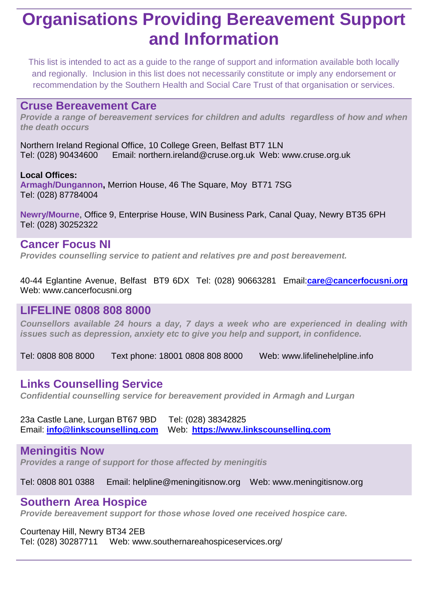## **Organisations Providing Bereavement Support and Information**

This list is intended to act as a guide to the range of support and information available both locally and regionally. Inclusion in this list does not necessarily constitute or imply any endorsement or recommendation by the Southern Health and Social Care Trust of that organisation or services.

#### **Cruse Bereavement Care**

*Provide a range of bereavement services for children and adults regardless of how and when the death occurs* 

Northern Ireland Regional Office, 10 College Green, Belfast BT7 1LN Tel: (028) 90434600 Email: [northern.ireland@cruse.org.uk](mailto:northern.ireland@cruse.org.uk) Web: [www.cruse.org.uk](http://www.cruse.org.uk/)

**Local Offices: Armagh/Dungannon,** Merrion House, 46 The Square, Moy BT71 7SG Tel: (028) 87784004

**Newry/Mourne**, Office 9, Enterprise House, WIN Business Park, Canal Quay, Newry BT35 6PH Tel: (028) 30252322

## **Cancer Focus NI**

*Provides counselling service to patient and relatives pre and post bereavement.*

40-44 Eglantine Avenue, Belfast BT9 6DX Tel: (028) 90663281 Email:**[care@cancerfocusni.org](mailto:care@cancerfocusni.org)** Web: [www.cancerfocusni.org](http://www.cancerfocusni.org/)

### **LIFELINE 0808 808 8000**

*Counsellors available 24 hours a day, 7 days a week who are experienced in dealing with issues such as depression, anxiety etc to give you help and support, in confidence.*

Tel: 0808 808 8000 Text phone: 18001 0808 808 8000 Web: [www.lifelinehelpline.info](http://www.lifelinehelpline.info/)

## **Links Counselling Service**

*Confidential counselling service for bereavement provided in Armagh and Lurgan*

23a Castle Lane, Lurgan BT67 9BD Tel: (028) 38342825 Email: **[info@linkscounselling.com](mailto:info@linkscounselling.com)** Web: **[https://www.linkscounselling.com](https://www.linkscounselling.com/)**

#### **Meningitis Now**

*Provides a range of support for those affected by meningitis*

Tel: 0808 801 0388 Email: [helpline@meningitisnow.org](mailto:helpline@meningitisnow.org) Web: [www.meningitisnow.org](http://www.meningitisnow.org/)

### **Southern Area Hospice**

*Provide bereavement support for those whose loved one received hospice care.*

#### Courtenay Hill, Newry BT34 2EB

Tel: (028) 30287711 Web: [www.southernareahospiceservices.org/](http://www.southernareahospiceservices.org/)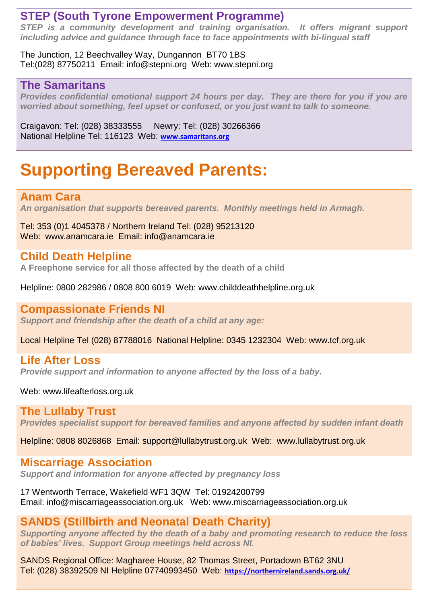### **STEP (South Tyrone Empowerment Programme)**

*STEP is a community development and training organisation. It offers migrant support including advice and guidance through face to face appointments with bi-lingual staff*

The Junction, 12 Beechvalley Way, Dungannon BT70 1BS Tel:(028) 87750211 Email: [info@stepni.org](mailto:info@stepni.org) Web: [www.stepni.org](http://www.stepni.org/)

### **The Samaritans**

*Provides confidential emotional support 24 hours per day. They are there for you if you are worried about something, feel upset or confused, or you just want to talk to someone.*

Craigavon: Tel: (028) 38333555 Newry: Tel: (028) 30266366 National Helpline Tel: 116123 Web: **[www.samaritans.org](http://www.samaritans.org/)**

# **Supporting Bereaved Parents:**

### **Anam Cara**

*An organisation that supports bereaved parents. Monthly meetings held in Armagh.*

Tel: 353 (0)1 4045378 / Northern Ireland Tel: (028) 95213120 Web: [www.anamcara.ie](http://www.anamcara.ie/) Email: [info@anamcara.ie](mailto:info@anamcara.ie)

## **Child Death Helpline**

**A Freephone service for all those affected by the death of a child**

Helpline: 0800 282986 / 0808 800 6019 Web: [www.childdeathhelpline.org.uk](http://www.childdeathhelpline.org.uk/)

### **Compassionate Friends NI**

*Support and friendship after the death of a child at any age:*

Local Helpline Tel (028) 87788016 National Helpline: 0345 1232304 Web: [www.tcf.org.uk](http://www.tcf.org.uk/)

## **Life After Loss**

*Provide support and information to anyone affected by the loss of a baby.*

Web: [www.lifeafterloss.org.uk](http://www.lifeafterloss.org.uk/)

### **The Lullaby Trust**

*Provides specialist support for bereaved families and anyone affected by sudden infant death*

Helpline: 0808 8026868 Email: [support@lullabytrust.org.uk](mailto:support@lullabytrust.org.uk) Web: [www.lullabytrust.org.uk](http://www.lullabytrust.org.uk/)

## **Miscarriage Association**

*Support and information for anyone affected by pregnancy loss*

17 Wentworth Terrace, Wakefield WF1 3QW Tel: 01924200799 Email: [info@miscarriageassociation.org.uk](mailto:info@miscarriageassociation.org.uk) Web: [www.miscarriageassociation.org.uk](http://www.miscarriageassociation.org.uk/)

## **SANDS (Stillbirth and Neonatal Death Charity)**

*Supporting anyone affected by the death of a baby and promoting research to reduce the loss of babies' lives. Support Group meetings held across NI.*

SANDS Regional Office: Magharee House, 82 Thomas Street, Portadown BT62 3NU Tel: (028) 38392509 NI Helpline 07740993450 Web: **<https://northernireland.sands.org.uk/>**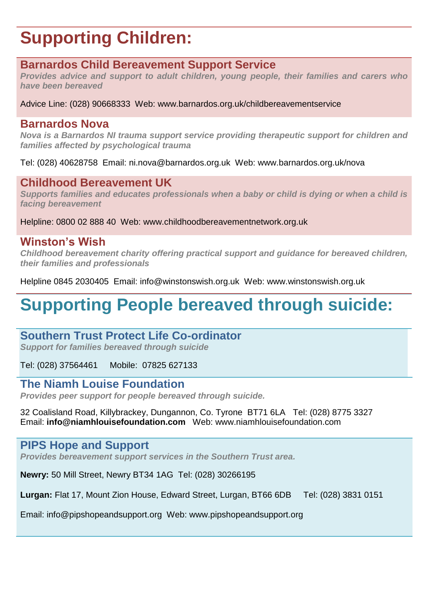# **Supporting Children:**

### **Barnardos Child Bereavement Support Service**

*Provides advice and support to adult children, young people, their families and carers who have been bereaved*

Advice Line: (028) 90668333 Web: [www.barnardos.org.uk/childbereavementservice](http://www.barnardos.org.uk/childbereavementservice)

#### **Barnardos Nova**

*Nova is a Barnardos NI trauma support service providing therapeutic support for children and families affected by psychological trauma*

Tel: (028) 40628758 Email: [ni.nova@barnardos.org.uk](mailto:ni.nova@barnardos.org.uk) Web: [www.barnardos.org.uk/nova](http://www.barnardos.org.uk/nova)

### **Childhood Bereavement UK**

*Supports families and educates professionals when a baby or child is dying or when a child is facing bereavement* 

Helpline: 0800 02 888 40 Web: [www.childhoodbereavementnetwork.org.uk](http://www.childhoodbereavementnetwork.org.uk/)

### **Winston's Wish**

*Childhood bereavement charity offering practical support and guidance for bereaved children, their families and professionals*

Helpline 0845 2030405 Email: [info@winstonswish.org.uk](mailto:info@winstonswish.org.uk) Web: [www.winstonswish.org.uk](http://www.winstonswish.org.uk/)

# **Supporting People bereaved through suicide:**

## **Southern Trust Protect Life Co-ordinator**

*Support for families bereaved through suicide* 

Tel: (028) 37564461 Mobile: 07825 627133

## **The Niamh Louise Foundation**

*Provides peer support for people bereaved through suicide.*

32 Coalisland Road, Killybrackey, Dungannon, Co. Tyrone BT71 6LA Tel: (028) 8775 3327 Email: **[info@niamhlouisefoundation.com](mailto:info@niamhlouisefoundation.com)** Web: [www.niamhlouisefoundation.com](http://www.niamhlouisefoundation.com/)

### **PIPS Hope and Support**

*Provides bereavement support services in the Southern Trust area.*

**Newry:** 50 Mill Street, Newry BT34 1AG Tel: (028) 30266195

**Lurgan:** Flat 17, Mount Zion House, Edward Street, Lurgan, BT66 6DB Tel: (028) 3831 0151

Email: [info@pipshopeandsupport.org](mailto:info@pipshopeandsupport.org) Web: [www.pipshopeandsupport.org](http://www.pipshopeandsupport.org/)